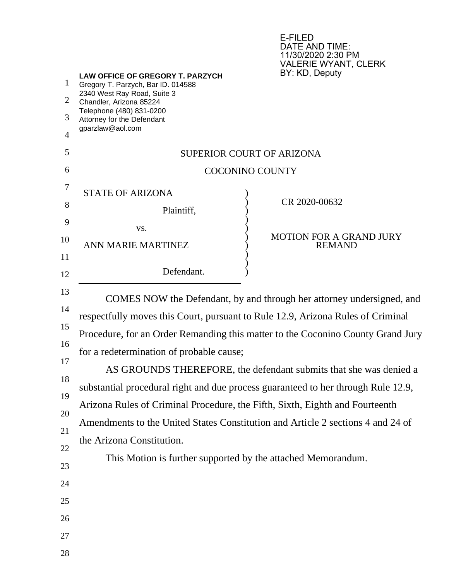E-FILED DATE AND TIME: 11/30/2020 2:30 PM VALERIE WYANT, CLERK

| 1              | LAW OFFICE OF GREGORY T. PARZYCH<br>Gregory T. Parzych, Bar ID. 014588                                                                                                                                                                                                                                                                                                                                                                                                                                                                                                                                               | BY: KD, Deputy                   |  |
|----------------|----------------------------------------------------------------------------------------------------------------------------------------------------------------------------------------------------------------------------------------------------------------------------------------------------------------------------------------------------------------------------------------------------------------------------------------------------------------------------------------------------------------------------------------------------------------------------------------------------------------------|----------------------------------|--|
| 2              | 2340 West Ray Road, Suite 3<br>Chandler, Arizona 85224                                                                                                                                                                                                                                                                                                                                                                                                                                                                                                                                                               |                                  |  |
| 3              | Telephone (480) 831-0200<br>Attorney for the Defendant                                                                                                                                                                                                                                                                                                                                                                                                                                                                                                                                                               |                                  |  |
| $\overline{4}$ | gparzlaw@aol.com                                                                                                                                                                                                                                                                                                                                                                                                                                                                                                                                                                                                     |                                  |  |
| 5              |                                                                                                                                                                                                                                                                                                                                                                                                                                                                                                                                                                                                                      | <b>SUPERIOR COURT OF ARIZONA</b> |  |
| 6              | <b>COCONINO COUNTY</b>                                                                                                                                                                                                                                                                                                                                                                                                                                                                                                                                                                                               |                                  |  |
| 7              |                                                                                                                                                                                                                                                                                                                                                                                                                                                                                                                                                                                                                      |                                  |  |
| 8              | <b>STATE OF ARIZONA</b>                                                                                                                                                                                                                                                                                                                                                                                                                                                                                                                                                                                              | CR 2020-00632                    |  |
| 9              | Plaintiff,                                                                                                                                                                                                                                                                                                                                                                                                                                                                                                                                                                                                           |                                  |  |
| 10             | VS.<br><b>ANN MARIE MARTINEZ</b>                                                                                                                                                                                                                                                                                                                                                                                                                                                                                                                                                                                     | <b>MOTION FOR A GRAND JURY</b>   |  |
| 11             |                                                                                                                                                                                                                                                                                                                                                                                                                                                                                                                                                                                                                      | <b>REMAND</b>                    |  |
| 12             | Defendant.                                                                                                                                                                                                                                                                                                                                                                                                                                                                                                                                                                                                           |                                  |  |
| 13             |                                                                                                                                                                                                                                                                                                                                                                                                                                                                                                                                                                                                                      |                                  |  |
| 14             | COMES NOW the Defendant, by and through her attorney undersigned, and<br>respectfully moves this Court, pursuant to Rule 12.9, Arizona Rules of Criminal<br>Procedure, for an Order Remanding this matter to the Coconino County Grand Jury<br>for a redetermination of probable cause;<br>AS GROUNDS THEREFORE, the defendant submits that she was denied a<br>substantial procedural right and due process guaranteed to her through Rule 12.9,<br>Arizona Rules of Criminal Procedure, the Fifth, Sixth, Eighth and Fourteenth<br>Amendments to the United States Constitution and Article 2 sections 4 and 24 of |                                  |  |
| 15             |                                                                                                                                                                                                                                                                                                                                                                                                                                                                                                                                                                                                                      |                                  |  |
| 16             |                                                                                                                                                                                                                                                                                                                                                                                                                                                                                                                                                                                                                      |                                  |  |
| 17             |                                                                                                                                                                                                                                                                                                                                                                                                                                                                                                                                                                                                                      |                                  |  |
| 18             |                                                                                                                                                                                                                                                                                                                                                                                                                                                                                                                                                                                                                      |                                  |  |
| 19             |                                                                                                                                                                                                                                                                                                                                                                                                                                                                                                                                                                                                                      |                                  |  |
| 20             |                                                                                                                                                                                                                                                                                                                                                                                                                                                                                                                                                                                                                      |                                  |  |
| 21             |                                                                                                                                                                                                                                                                                                                                                                                                                                                                                                                                                                                                                      |                                  |  |
| 22             | the Arizona Constitution.                                                                                                                                                                                                                                                                                                                                                                                                                                                                                                                                                                                            |                                  |  |
| 23             | This Motion is further supported by the attached Memorandum.                                                                                                                                                                                                                                                                                                                                                                                                                                                                                                                                                         |                                  |  |
| 24             |                                                                                                                                                                                                                                                                                                                                                                                                                                                                                                                                                                                                                      |                                  |  |
| 25             |                                                                                                                                                                                                                                                                                                                                                                                                                                                                                                                                                                                                                      |                                  |  |
| 26             |                                                                                                                                                                                                                                                                                                                                                                                                                                                                                                                                                                                                                      |                                  |  |
| 27             |                                                                                                                                                                                                                                                                                                                                                                                                                                                                                                                                                                                                                      |                                  |  |
| 28             |                                                                                                                                                                                                                                                                                                                                                                                                                                                                                                                                                                                                                      |                                  |  |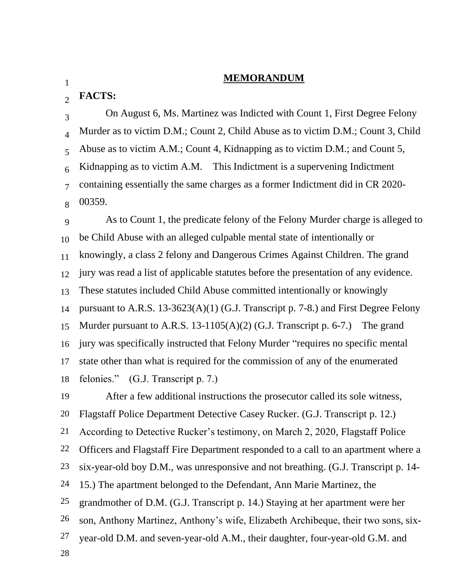## **MEMORANDUM**

 $\mathcal{L}$ **FACTS:**

3 4 5 6 7 8 On August 6, Ms. Martinez was Indicted with Count 1, First Degree Felony Murder as to victim D.M.; Count 2, Child Abuse as to victim D.M.; Count 3, Child Abuse as to victim A.M.; Count 4, Kidnapping as to victim D.M.; and Count 5, Kidnapping as to victim A.M. This Indictment is a supervening Indictment containing essentially the same charges as a former Indictment did in CR 2020- 00359.

9 10 11 12 13 14 15 16 17 18 As to Count 1, the predicate felony of the Felony Murder charge is alleged to be Child Abuse with an alleged culpable mental state of intentionally or knowingly, a class 2 felony and Dangerous Crimes Against Children. The grand jury was read a list of applicable statutes before the presentation of any evidence. These statutes included Child Abuse committed intentionally or knowingly pursuant to A.R.S. 13-3623(A)(1) (G.J. Transcript p. 7-8.) and First Degree Felony Murder pursuant to A.R.S. 13-1105(A)(2) (G.J. Transcript p. 6-7.) The grand jury was specifically instructed that Felony Murder "requires no specific mental state other than what is required for the commission of any of the enumerated felonies." (G.J. Transcript p. 7.)

19 20 21 22 23 24 25 26 27 28 After a few additional instructions the prosecutor called its sole witness, Flagstaff Police Department Detective Casey Rucker. (G.J. Transcript p. 12.) According to Detective Rucker's testimony, on March 2, 2020, Flagstaff Police Officers and Flagstaff Fire Department responded to a call to an apartment where a six-year-old boy D.M., was unresponsive and not breathing. (G.J. Transcript p. 14- 15.) The apartment belonged to the Defendant, Ann Marie Martinez, the grandmother of D.M. (G.J. Transcript p. 14.) Staying at her apartment were her son, Anthony Martinez, Anthony's wife, Elizabeth Archibeque, their two sons, sixyear-old D.M. and seven-year-old A.M., their daughter, four-year-old G.M. and

1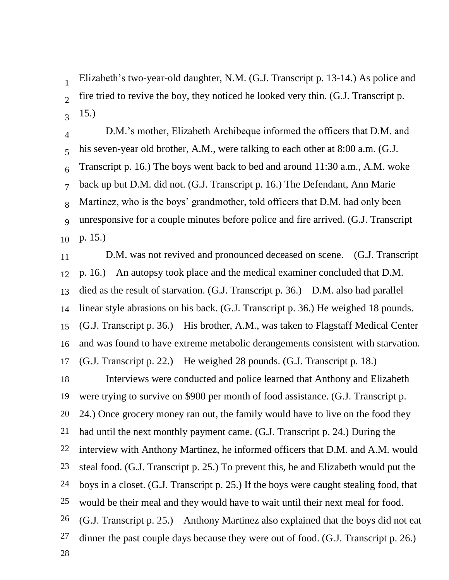1  $\overline{2}$ 3 Elizabeth's two-year-old daughter, N.M. (G.J. Transcript p. 13-14.) As police and fire tried to revive the boy, they noticed he looked very thin. (G.J. Transcript p. 15.)

4 5 6 7 8 9 10 D.M.'s mother, Elizabeth Archibeque informed the officers that D.M. and his seven-year old brother, A.M., were talking to each other at 8:00 a.m. (G.J. Transcript p. 16.) The boys went back to bed and around 11:30 a.m., A.M. woke back up but D.M. did not. (G.J. Transcript p. 16.) The Defendant, Ann Marie Martinez, who is the boys' grandmother, told officers that D.M. had only been unresponsive for a couple minutes before police and fire arrived. (G.J. Transcript p. 15.)

11 12 13 14 15 16 17 D.M. was not revived and pronounced deceased on scene. (G.J. Transcript p. 16.) An autopsy took place and the medical examiner concluded that D.M. died as the result of starvation. (G.J. Transcript p. 36.) D.M. also had parallel linear style abrasions on his back. (G.J. Transcript p. 36.) He weighed 18 pounds. (G.J. Transcript p. 36.) His brother, A.M., was taken to Flagstaff Medical Center and was found to have extreme metabolic derangements consistent with starvation. (G.J. Transcript p. 22.) He weighed 28 pounds. (G.J. Transcript p. 18.)

18 19 20 21 22 23 24 25 26 27 28 Interviews were conducted and police learned that Anthony and Elizabeth were trying to survive on \$900 per month of food assistance. (G.J. Transcript p. 24.) Once grocery money ran out, the family would have to live on the food they had until the next monthly payment came. (G.J. Transcript p. 24.) During the interview with Anthony Martinez, he informed officers that D.M. and A.M. would steal food. (G.J. Transcript p. 25.) To prevent this, he and Elizabeth would put the boys in a closet. (G.J. Transcript p. 25.) If the boys were caught stealing food, that would be their meal and they would have to wait until their next meal for food. (G.J. Transcript p. 25.) Anthony Martinez also explained that the boys did not eat dinner the past couple days because they were out of food. (G.J. Transcript p. 26.)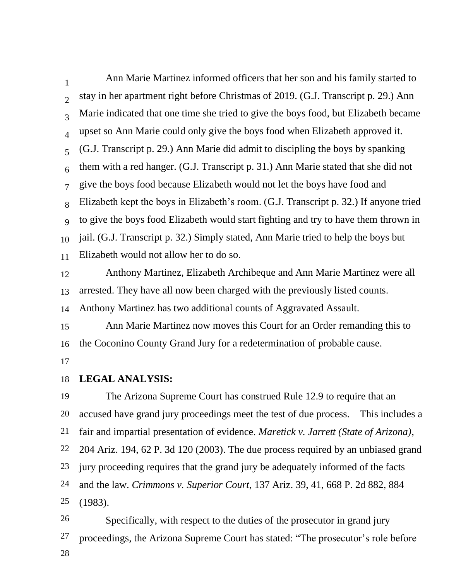1  $\mathcal{D}$ 3 4 5 6 7 8 9 10 11 Ann Marie Martinez informed officers that her son and his family started to stay in her apartment right before Christmas of 2019. (G.J. Transcript p. 29.) Ann Marie indicated that one time she tried to give the boys food, but Elizabeth became upset so Ann Marie could only give the boys food when Elizabeth approved it. (G.J. Transcript p. 29.) Ann Marie did admit to discipling the boys by spanking them with a red hanger. (G.J. Transcript p. 31.) Ann Marie stated that she did not give the boys food because Elizabeth would not let the boys have food and Elizabeth kept the boys in Elizabeth's room. (G.J. Transcript p. 32.) If anyone tried to give the boys food Elizabeth would start fighting and try to have them thrown in jail. (G.J. Transcript p. 32.) Simply stated, Ann Marie tried to help the boys but Elizabeth would not allow her to do so.

12 13 Anthony Martinez, Elizabeth Archibeque and Ann Marie Martinez were all arrested. They have all now been charged with the previously listed counts.

14 Anthony Martinez has two additional counts of Aggravated Assault.

15 16 17 Ann Marie Martinez now moves this Court for an Order remanding this to the Coconino County Grand Jury for a redetermination of probable cause.

## 18 **LEGAL ANALYSIS:**

19 20 21 22 23 24 25 The Arizona Supreme Court has construed Rule 12.9 to require that an accused have grand jury proceedings meet the test of due process. This includes a fair and impartial presentation of evidence. *Maretick v. Jarrett (State of Arizona)*, 204 Ariz. 194, 62 P. 3d 120 (2003). The due process required by an unbiased grand jury proceeding requires that the grand jury be adequately informed of the facts and the law. *Crimmons v. Superior Court*, 137 Ariz. 39, 41, 668 P. 2d 882, 884 (1983).

26 27 28 Specifically, with respect to the duties of the prosecutor in grand jury proceedings, the Arizona Supreme Court has stated: "The prosecutor's role before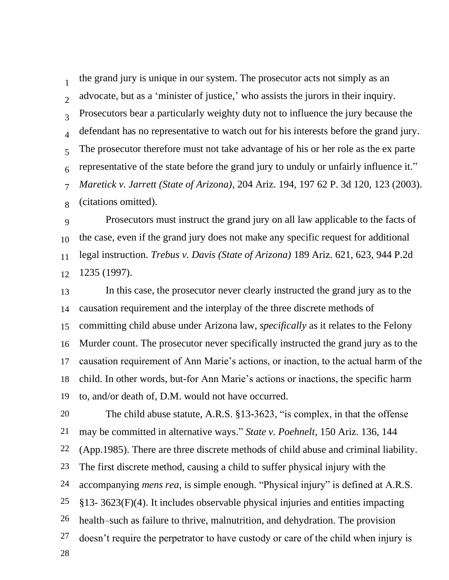1  $\mathfrak{D}$ 3 4 5 6 7 8 the grand jury is unique in our system. The prosecutor acts not simply as an advocate, but as a 'minister of justice,' who assists the jurors in their inquiry. Prosecutors bear a particularly weighty duty not to influence the jury because the defendant has no representative to watch out for his interests before the grand jury. The prosecutor therefore must not take advantage of his or her role as the ex parte representative of the state before the grand jury to unduly or unfairly influence it." *Maretick v. Jarrett (State of Arizona)*, 204 Ariz. 194, 197 62 P. 3d 120, 123 (2003). (citations omitted).

9 10 11 12 Prosecutors must instruct the grand jury on all law applicable to the facts of the case, even if the grand jury does not make any specific request for additional legal instruction. *Trebus v. Davis (State of Arizona)* 189 Ariz. 621, 623, 944 P.2d 1235 (1997).

13 14 15 16 17 18 19 In this case, the prosecutor never clearly instructed the grand jury as to the causation requirement and the interplay of the three discrete methods of committing child abuse under Arizona law, *specifically* as it relates to the Felony Murder count. The prosecutor never specifically instructed the grand jury as to the causation requirement of Ann Marie's actions, or inaction, to the actual harm of the child. In other words, but-for Ann Marie's actions or inactions, the specific harm to, and/or death of, D.M. would not have occurred.

20 21 22 23 24 25 26 27 28 The child abuse statute, A.R.S. §13-3623, "is complex, in that the offense may be committed in alternative ways." *State v. Poehnelt*, 150 Ariz. 136, 144 (App.1985). There are three discrete methods of child abuse and criminal liability. The first discrete method, causing a child to suffer physical injury with the accompanying *mens rea*, is simple enough. "Physical injury" is defined at A.R.S. §13- 3623(F)(4). It includes observable physical injuries and entities impacting health–such as failure to thrive, malnutrition, and dehydration. The provision doesn't require the perpetrator to have custody or care of the child when injury is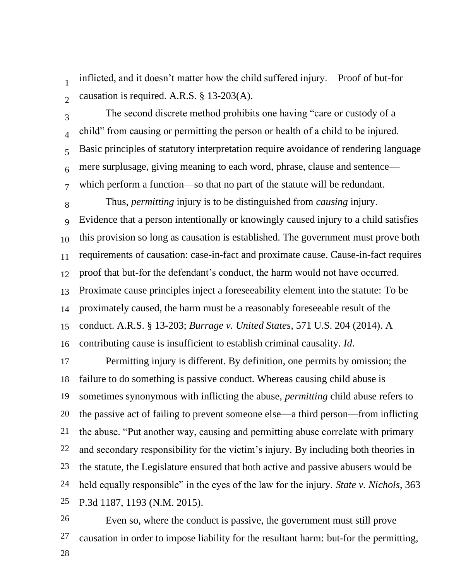1  $\mathcal{D}$ inflicted, and it doesn't matter how the child suffered injury. Proof of but-for causation is required. A.R.S. § 13-203(A).

3 4 5 6 7 The second discrete method prohibits one having "care or custody of a child" from causing or permitting the person or health of a child to be injured. Basic principles of statutory interpretation require avoidance of rendering language mere surplusage, giving meaning to each word, phrase, clause and sentence which perform a function—so that no part of the statute will be redundant.

8 Thus, *permitting* injury is to be distinguished from *causing* injury.

9 10 11 12 13 14 15 16 Evidence that a person intentionally or knowingly caused injury to a child satisfies this provision so long as causation is established. The government must prove both requirements of causation: case-in-fact and proximate cause. Cause-in-fact requires proof that but-for the defendant's conduct, the harm would not have occurred. Proximate cause principles inject a foreseeability element into the statute: To be proximately caused, the harm must be a reasonably foreseeable result of the conduct. A.R.S. § 13-203; *Burrage v. United States*, 571 U.S. 204 (2014). A contributing cause is insufficient to establish criminal causality. *Id*.

17 18 19 20 21 22 23 24 25 Permitting injury is different. By definition, one permits by omission; the failure to do something is passive conduct. Whereas causing child abuse is sometimes synonymous with inflicting the abuse, *permitting* child abuse refers to the passive act of failing to prevent someone else—a third person—from inflicting the abuse. "Put another way, causing and permitting abuse correlate with primary and secondary responsibility for the victim's injury. By including both theories in the statute, the Legislature ensured that both active and passive abusers would be held equally responsible" in the eyes of the law for the injury. *State v. Nichols*, 363 P.3d 1187, 1193 (N.M. 2015).

26 27 28 Even so, where the conduct is passive, the government must still prove causation in order to impose liability for the resultant harm: but-for the permitting,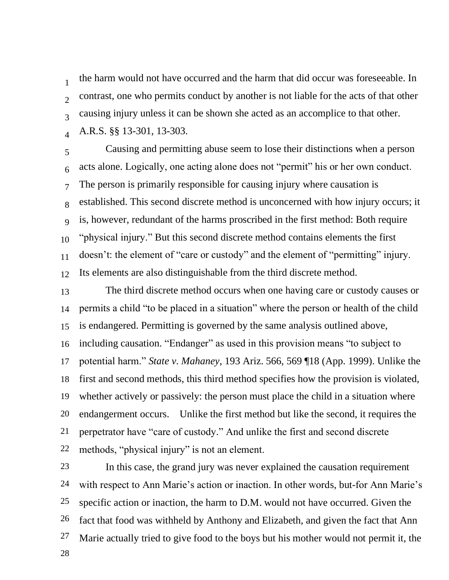1  $\mathfrak{D}$ 3 4 the harm would not have occurred and the harm that did occur was foreseeable. In contrast, one who permits conduct by another is not liable for the acts of that other causing injury unless it can be shown she acted as an accomplice to that other. A.R.S. §§ 13-301, 13-303.

5 6 7 8 9 10 11 12 Causing and permitting abuse seem to lose their distinctions when a person acts alone. Logically, one acting alone does not "permit" his or her own conduct. The person is primarily responsible for causing injury where causation is established. This second discrete method is unconcerned with how injury occurs; it is, however, redundant of the harms proscribed in the first method: Both require "physical injury." But this second discrete method contains elements the first doesn't: the element of "care or custody" and the element of "permitting" injury. Its elements are also distinguishable from the third discrete method.

13 14 15 16 17 18 19 20 21 22 The third discrete method occurs when one having care or custody causes or permits a child "to be placed in a situation" where the person or health of the child is endangered. Permitting is governed by the same analysis outlined above, including causation. "Endanger" as used in this provision means "to subject to potential harm." *State v. Mahaney*, 193 Ariz. 566, 569 ¶18 (App. 1999). Unlike the first and second methods, this third method specifies how the provision is violated, whether actively or passively: the person must place the child in a situation where endangerment occurs. Unlike the first method but like the second, it requires the perpetrator have "care of custody." And unlike the first and second discrete methods, "physical injury" is not an element.

23 24 25 26 27 28 In this case, the grand jury was never explained the causation requirement with respect to Ann Marie's action or inaction. In other words, but-for Ann Marie's specific action or inaction, the harm to D.M. would not have occurred. Given the fact that food was withheld by Anthony and Elizabeth, and given the fact that Ann Marie actually tried to give food to the boys but his mother would not permit it, the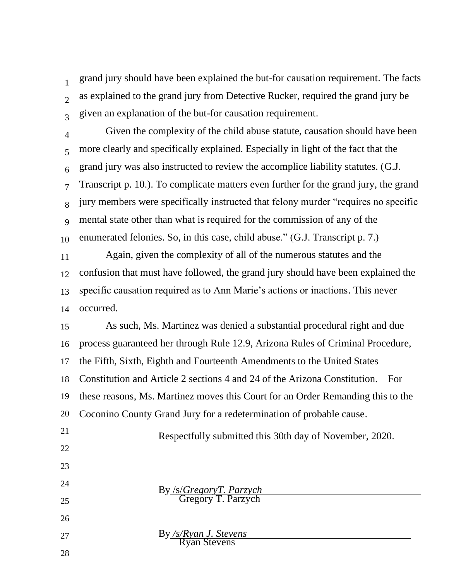1  $\mathfrak{D}$ 3 grand jury should have been explained the but-for causation requirement. The facts as explained to the grand jury from Detective Rucker, required the grand jury be given an explanation of the but-for causation requirement.

4 5 6 7 8 9 10 11 12 13 14 Given the complexity of the child abuse statute, causation should have been more clearly and specifically explained. Especially in light of the fact that the grand jury was also instructed to review the accomplice liability statutes. (G.J. Transcript p. 10.). To complicate matters even further for the grand jury, the grand jury members were specifically instructed that felony murder "requires no specific mental state other than what is required for the commission of any of the enumerated felonies. So, in this case, child abuse." (G.J. Transcript p. 7.) Again, given the complexity of all of the numerous statutes and the confusion that must have followed, the grand jury should have been explained the specific causation required as to Ann Marie's actions or inactions. This never occurred.

15 16 17 18 19 20 As such, Ms. Martinez was denied a substantial procedural right and due process guaranteed her through Rule 12.9, Arizona Rules of Criminal Procedure, the Fifth, Sixth, Eighth and Fourteenth Amendments to the United States Constitution and Article 2 sections 4 and 24 of the Arizona Constitution. For these reasons, Ms. Martinez moves this Court for an Order Remanding this to the Coconino County Grand Jury for a redetermination of probable cause.

Respectfully submitted this 30th day of November, 2020.

- 21 22
- 23
- 24
- 25
- 26
- 27

By */s/Ryan J. Stevens* Ryan Stevens

By /s/*GregoryT. Parzych* Gregory T. Parzych

28